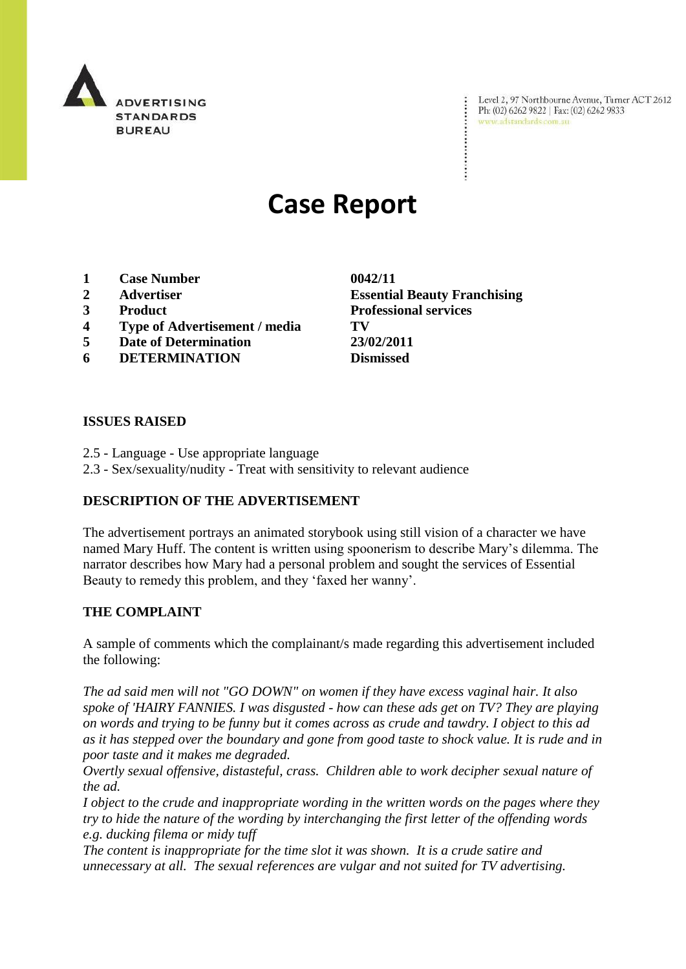

Level 2, 97 Northbourne Avenue, Turner ACT 2612 Level 2, 97 Northbourne Avenue, Turne<br>Ph: (02) 6262 9822 | Fax: (02) 6262 9833 www.adstandards.com.au

# **Case Report**

- **1 Case Number 0042/11**
- 
- 
- **4 Type of Advertisement / media TV**
- **5 Date of Determination 23/02/2011**
- **6 DETERMINATION Dismissed**

**ISSUES RAISED**

- 2.5 Language Use appropriate language
- 2.3 Sex/sexuality/nudity Treat with sensitivity to relevant audience

## **DESCRIPTION OF THE ADVERTISEMENT**

The advertisement portrays an animated storybook using still vision of a character we have named Mary Huff. The content is written using spoonerism to describe Mary"s dilemma. The narrator describes how Mary had a personal problem and sought the services of Essential Beauty to remedy this problem, and they "faxed her wanny".

## **THE COMPLAINT**

A sample of comments which the complainant/s made regarding this advertisement included the following:

*The ad said men will not "GO DOWN" on women if they have excess vaginal hair. It also spoke of 'HAIRY FANNIES. I was disgusted - how can these ads get on TV? They are playing on words and trying to be funny but it comes across as crude and tawdry. I object to this ad as it has stepped over the boundary and gone from good taste to shock value. It is rude and in poor taste and it makes me degraded.*

*Overtly sexual offensive, distasteful, crass. Children able to work decipher sexual nature of the ad.* 

*I object to the crude and inappropriate wording in the written words on the pages where they try to hide the nature of the wording by interchanging the first letter of the offending words e.g. ducking filema or midy tuff*

*The content is inappropriate for the time slot it was shown. It is a crude satire and unnecessary at all. The sexual references are vulgar and not suited for TV advertising.*

**2 Advertiser Essential Beauty Franchising 3 Product Professional services**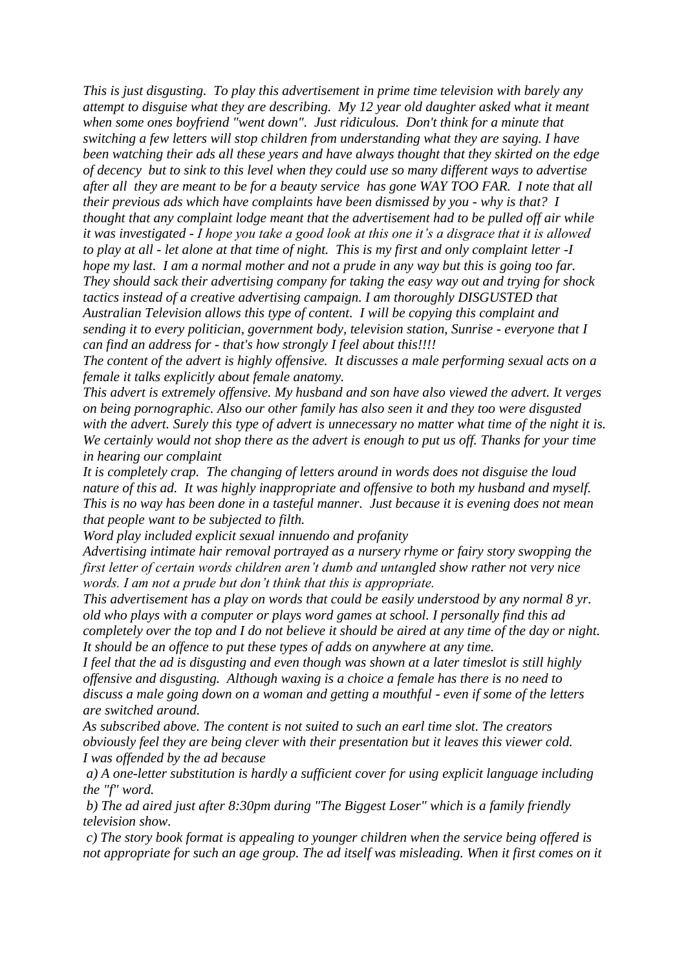*This is just disgusting. To play this advertisement in prime time television with barely any attempt to disguise what they are describing. My 12 year old daughter asked what it meant when some ones boyfriend "went down". Just ridiculous. Don't think for a minute that switching a few letters will stop children from understanding what they are saying. I have been watching their ads all these years and have always thought that they skirted on the edge of decency but to sink to this level when they could use so many different ways to advertise after all they are meant to be for a beauty service has gone WAY TOO FAR. I note that all their previous ads which have complaints have been dismissed by you - why is that? I thought that any complaint lodge meant that the advertisement had to be pulled off air while it was investigated - I hope you take a good look at this one it"s a disgrace that it is allowed to play at all - let alone at that time of night. This is my first and only complaint letter -I hope my last. I am a normal mother and not a prude in any way but this is going too far. They should sack their advertising company for taking the easy way out and trying for shock tactics instead of a creative advertising campaign. I am thoroughly DISGUSTED that Australian Television allows this type of content. I will be copying this complaint and sending it to every politician, government body, television station, Sunrise - everyone that I can find an address for - that's how strongly I feel about this!!!!*

*The content of the advert is highly offensive. It discusses a male performing sexual acts on a female it talks explicitly about female anatomy.*

*This advert is extremely offensive. My husband and son have also viewed the advert. It verges on being pornographic. Also our other family has also seen it and they too were disgusted with the advert. Surely this type of advert is unnecessary no matter what time of the night it is. We certainly would not shop there as the advert is enough to put us off. Thanks for your time in hearing our complaint*

*It is completely crap. The changing of letters around in words does not disguise the loud nature of this ad. It was highly inappropriate and offensive to both my husband and myself. This is no way has been done in a tasteful manner. Just because it is evening does not mean that people want to be subjected to filth.*

*Word play included explicit sexual innuendo and profanity*

*Advertising intimate hair removal portrayed as a nursery rhyme or fairy story swopping the first letter of certain words children aren"t dumb and untangled show rather not very nice words. I am not a prude but don"t think that this is appropriate.*

*This advertisement has a play on words that could be easily understood by any normal 8 yr. old who plays with a computer or plays word games at school. I personally find this ad completely over the top and I do not believe it should be aired at any time of the day or night. It should be an offence to put these types of adds on anywhere at any time.*

*I feel that the ad is disgusting and even though was shown at a later timeslot is still highly offensive and disgusting. Although waxing is a choice a female has there is no need to discuss a male going down on a woman and getting a mouthful - even if some of the letters are switched around.*

*As subscribed above. The content is not suited to such an earl time slot. The creators obviously feel they are being clever with their presentation but it leaves this viewer cold. I was offended by the ad because* 

*a) A one-letter substitution is hardly a sufficient cover for using explicit language including the "f" word.*

*b) The ad aired just after 8:30pm during "The Biggest Loser" which is a family friendly television show.* 

*c) The story book format is appealing to younger children when the service being offered is not appropriate for such an age group. The ad itself was misleading. When it first comes on it*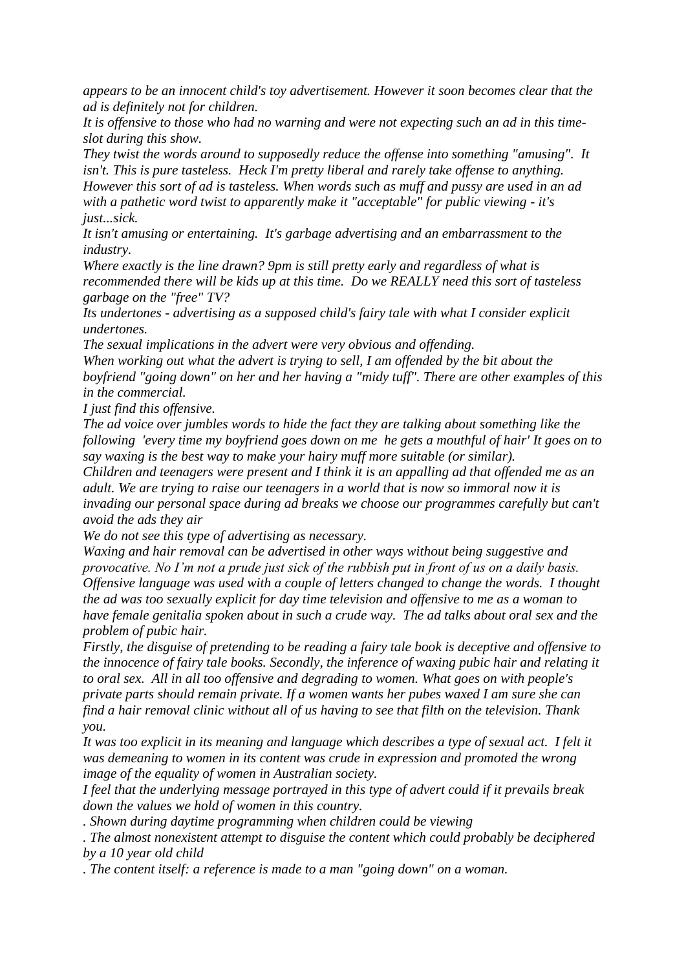*appears to be an innocent child's toy advertisement. However it soon becomes clear that the ad is definitely not for children.*

*It is offensive to those who had no warning and were not expecting such an ad in this timeslot during this show.*

*They twist the words around to supposedly reduce the offense into something "amusing". It isn't. This is pure tasteless. Heck I'm pretty liberal and rarely take offense to anything. However this sort of ad is tasteless. When words such as muff and pussy are used in an ad with a pathetic word twist to apparently make it "acceptable" for public viewing - it's just...sick.*

*It isn't amusing or entertaining. It's garbage advertising and an embarrassment to the industry.* 

*Where exactly is the line drawn? 9pm is still pretty early and regardless of what is recommended there will be kids up at this time. Do we REALLY need this sort of tasteless garbage on the "free" TV?*

*Its undertones - advertising as a supposed child's fairy tale with what I consider explicit undertones.*

*The sexual implications in the advert were very obvious and offending.*

*When working out what the advert is trying to sell, I am offended by the bit about the boyfriend "going down" on her and her having a "midy tuff". There are other examples of this in the commercial.*

*I just find this offensive.*

*The ad voice over jumbles words to hide the fact they are talking about something like the following 'every time my boyfriend goes down on me he gets a mouthful of hair' It goes on to say waxing is the best way to make your hairy muff more suitable (or similar).*

*Children and teenagers were present and I think it is an appalling ad that offended me as an adult. We are trying to raise our teenagers in a world that is now so immoral now it is invading our personal space during ad breaks we choose our programmes carefully but can't avoid the ads they air* 

*We do not see this type of advertising as necessary.*

*Waxing and hair removal can be advertised in other ways without being suggestive and provocative. No I"m not a prude just sick of the rubbish put in front of us on a daily basis. Offensive language was used with a couple of letters changed to change the words. I thought the ad was too sexually explicit for day time television and offensive to me as a woman to have female genitalia spoken about in such a crude way. The ad talks about oral sex and the problem of pubic hair.*

*Firstly, the disguise of pretending to be reading a fairy tale book is deceptive and offensive to the innocence of fairy tale books. Secondly, the inference of waxing pubic hair and relating it to oral sex. All in all too offensive and degrading to women. What goes on with people's private parts should remain private. If a women wants her pubes waxed I am sure she can find a hair removal clinic without all of us having to see that filth on the television. Thank you.* 

*It was too explicit in its meaning and language which describes a type of sexual act. I felt it was demeaning to women in its content was crude in expression and promoted the wrong image of the equality of women in Australian society.* 

*I feel that the underlying message portrayed in this type of advert could if it prevails break down the values we hold of women in this country.*

*. Shown during daytime programming when children could be viewing*

*. The almost nonexistent attempt to disguise the content which could probably be deciphered by a 10 year old child*

*. The content itself: a reference is made to a man "going down" on a woman.*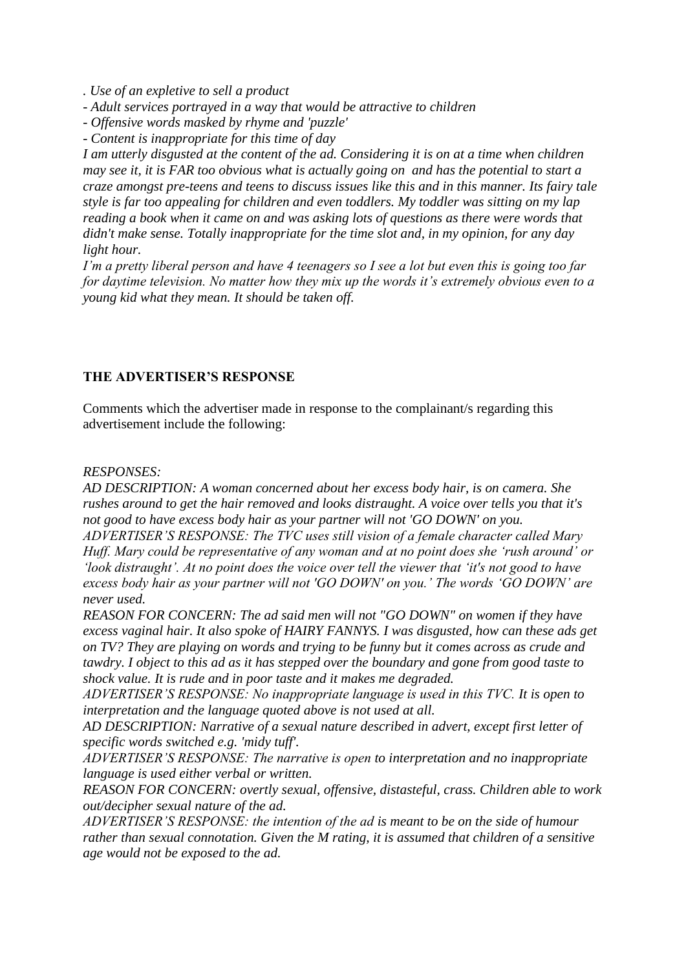*. Use of an expletive to sell a product*

- *- Adult services portrayed in a way that would be attractive to children*
- *- Offensive words masked by rhyme and 'puzzle'*
- *- Content is inappropriate for this time of day*

*I am utterly disgusted at the content of the ad. Considering it is on at a time when children may see it, it is FAR too obvious what is actually going on and has the potential to start a craze amongst pre-teens and teens to discuss issues like this and in this manner. Its fairy tale style is far too appealing for children and even toddlers. My toddler was sitting on my lap reading a book when it came on and was asking lots of questions as there were words that didn't make sense. Totally inappropriate for the time slot and, in my opinion, for any day light hour.*

*I"m a pretty liberal person and have 4 teenagers so I see a lot but even this is going too far for daytime television. No matter how they mix up the words it"s extremely obvious even to a young kid what they mean. It should be taken off.*

### **THE ADVERTISER'S RESPONSE**

Comments which the advertiser made in response to the complainant/s regarding this advertisement include the following:

#### *RESPONSES:*

*AD DESCRIPTION: A woman concerned about her excess body hair, is on camera. She rushes around to get the hair removed and looks distraught. A voice over tells you that it's not good to have excess body hair as your partner will not 'GO DOWN' on you. ADVERTISER"S RESPONSE: The TVC uses still vision of a female character called Mary Huff. Mary could be representative of any woman and at no point does she "rush around" or* 

*"look distraught". At no point does the voice over tell the viewer that "it's not good to have excess body hair as your partner will not 'GO DOWN' on you." The words "GO DOWN" are never used.*

*REASON FOR CONCERN: The ad said men will not "GO DOWN" on women if they have excess vaginal hair. It also spoke of HAIRY FANNYS. I was disgusted, how can these ads get on TV? They are playing on words and trying to be funny but it comes across as crude and tawdry. I object to this ad as it has stepped over the boundary and gone from good taste to shock value. It is rude and in poor taste and it makes me degraded.*

*ADVERTISER"S RESPONSE: No inappropriate language is used in this TVC. It is open to interpretation and the language quoted above is not used at all.*

*AD DESCRIPTION: Narrative of a sexual nature described in advert, except first letter of specific words switched e.g. 'midy tuff'.* 

*ADVERTISER"S RESPONSE: The narrative is open to interpretation and no inappropriate language is used either verbal or written.*

*REASON FOR CONCERN: overtly sexual, offensive, distasteful, crass. Children able to work out/decipher sexual nature of the ad.*

*ADVERTISER"S RESPONSE: the intention of the ad is meant to be on the side of humour rather than sexual connotation. Given the M rating, it is assumed that children of a sensitive age would not be exposed to the ad.*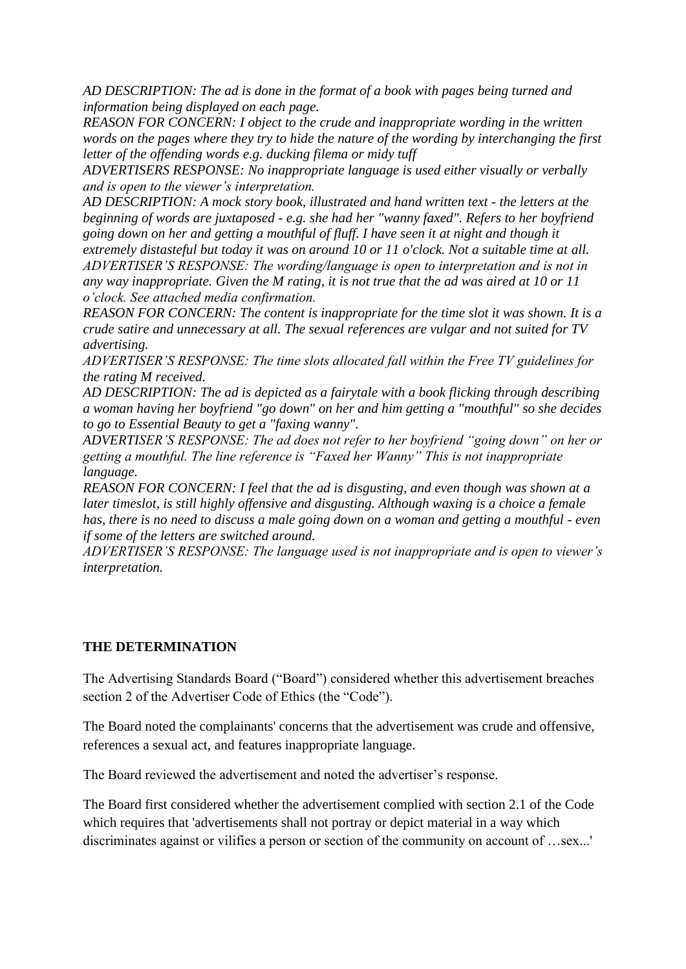*AD DESCRIPTION: The ad is done in the format of a book with pages being turned and information being displayed on each page.* 

*REASON FOR CONCERN: I object to the crude and inappropriate wording in the written words on the pages where they try to hide the nature of the wording by interchanging the first letter of the offending words e.g. ducking filema or midy tuff*

*ADVERTISERS RESPONSE: No inappropriate language is used either visually or verbally and is open to the viewer"s interpretation.*

*AD DESCRIPTION: A mock story book, illustrated and hand written text - the letters at the beginning of words are juxtaposed - e.g. she had her "wanny faxed". Refers to her boyfriend going down on her and getting a mouthful of fluff. I have seen it at night and though it extremely distasteful but today it was on around 10 or 11 o'clock. Not a suitable time at all. ADVERTISER"S RESPONSE: The wording/language is open to interpretation and is not in any way inappropriate. Given the M rating, it is not true that the ad was aired at 10 or 11 o"clock. See attached media confirmation.*

*REASON FOR CONCERN: The content is inappropriate for the time slot it was shown. It is a crude satire and unnecessary at all. The sexual references are vulgar and not suited for TV advertising.*

*ADVERTISER"S RESPONSE: The time slots allocated fall within the Free TV guidelines for the rating M received.*

*AD DESCRIPTION: The ad is depicted as a fairytale with a book flicking through describing a woman having her boyfriend "go down" on her and him getting a "mouthful" so she decides to go to Essential Beauty to get a "faxing wanny".* 

*ADVERTISER"S RESPONSE: The ad does not refer to her boyfriend "going down" on her or getting a mouthful. The line reference is "Faxed her Wanny" This is not inappropriate language.*

*REASON FOR CONCERN: I feel that the ad is disgusting, and even though was shown at a later timeslot, is still highly offensive and disgusting. Although waxing is a choice a female has, there is no need to discuss a male going down on a woman and getting a mouthful - even if some of the letters are switched around.*

*ADVERTISER"S RESPONSE: The language used is not inappropriate and is open to viewer"s interpretation.*

## **THE DETERMINATION**

The Advertising Standards Board ("Board") considered whether this advertisement breaches section 2 of the Advertiser Code of Ethics (the "Code").

The Board noted the complainants' concerns that the advertisement was crude and offensive, references a sexual act, and features inappropriate language.

The Board reviewed the advertisement and noted the advertiser's response.

The Board first considered whether the advertisement complied with section 2.1 of the Code which requires that 'advertisements shall not portray or depict material in a way which discriminates against or vilifies a person or section of the community on account of …sex...'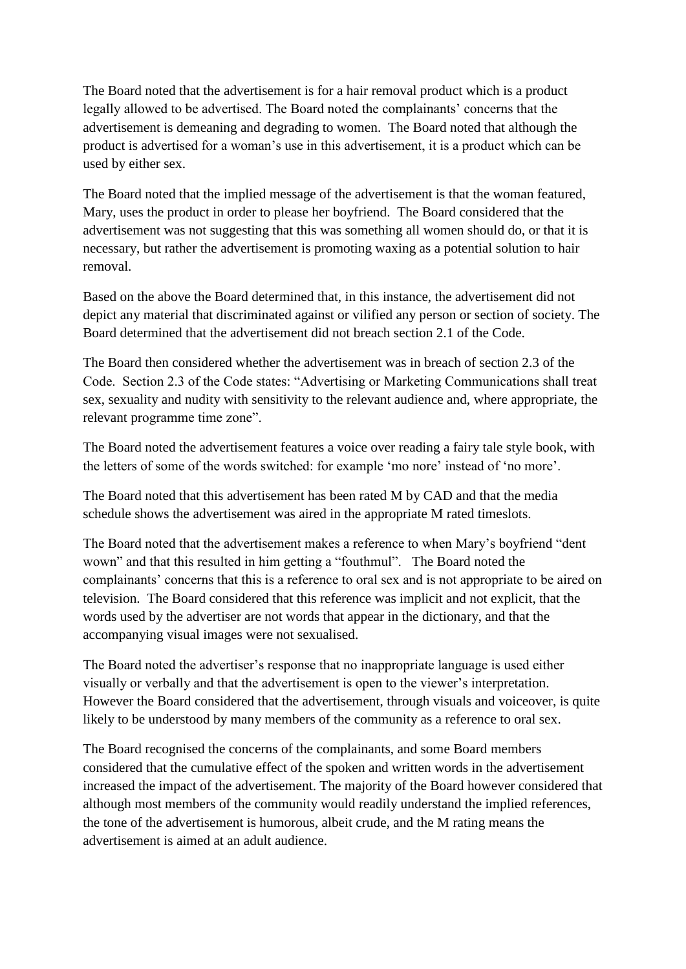The Board noted that the advertisement is for a hair removal product which is a product legally allowed to be advertised. The Board noted the complainants' concerns that the advertisement is demeaning and degrading to women. The Board noted that although the product is advertised for a woman"s use in this advertisement, it is a product which can be used by either sex.

The Board noted that the implied message of the advertisement is that the woman featured, Mary, uses the product in order to please her boyfriend. The Board considered that the advertisement was not suggesting that this was something all women should do, or that it is necessary, but rather the advertisement is promoting waxing as a potential solution to hair removal.

Based on the above the Board determined that, in this instance, the advertisement did not depict any material that discriminated against or vilified any person or section of society. The Board determined that the advertisement did not breach section 2.1 of the Code.

The Board then considered whether the advertisement was in breach of section 2.3 of the Code. Section 2.3 of the Code states: "Advertising or Marketing Communications shall treat sex, sexuality and nudity with sensitivity to the relevant audience and, where appropriate, the relevant programme time zone".

The Board noted the advertisement features a voice over reading a fairy tale style book, with the letters of some of the words switched: for example "mo nore" instead of "no more".

The Board noted that this advertisement has been rated M by CAD and that the media schedule shows the advertisement was aired in the appropriate M rated timeslots.

The Board noted that the advertisement makes a reference to when Mary"s boyfriend "dent wown" and that this resulted in him getting a "fouthmul". The Board noted the complainants" concerns that this is a reference to oral sex and is not appropriate to be aired on television. The Board considered that this reference was implicit and not explicit, that the words used by the advertiser are not words that appear in the dictionary, and that the accompanying visual images were not sexualised.

The Board noted the advertiser"s response that no inappropriate language is used either visually or verbally and that the advertisement is open to the viewer"s interpretation. However the Board considered that the advertisement, through visuals and voiceover, is quite likely to be understood by many members of the community as a reference to oral sex.

The Board recognised the concerns of the complainants, and some Board members considered that the cumulative effect of the spoken and written words in the advertisement increased the impact of the advertisement. The majority of the Board however considered that although most members of the community would readily understand the implied references, the tone of the advertisement is humorous, albeit crude, and the M rating means the advertisement is aimed at an adult audience.